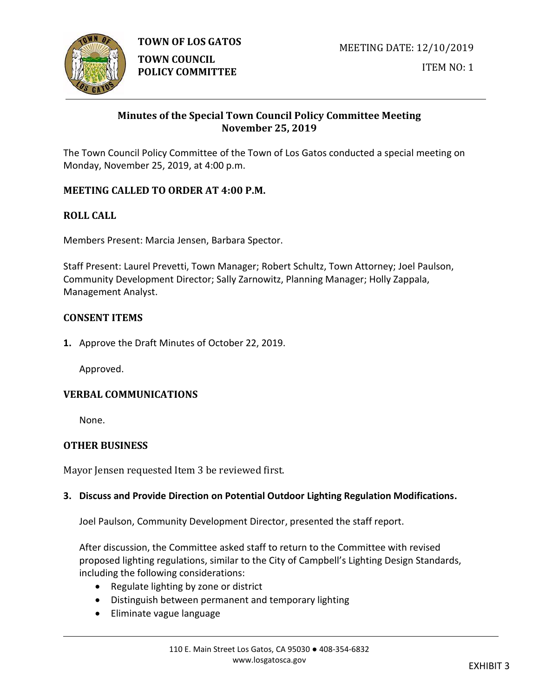

**TOWN OF LOS GATOS** 

**TOWN COUNCIL POLICY COMMITTEE**

# **Minutes of the Special Town Council Policy Committee Meeting November 25, 2019**

The Town Council Policy Committee of the Town of Los Gatos conducted a special meeting on Monday, November 25, 2019, at 4:00 p.m.

# **MEETING CALLED TO ORDER AT 4:00 P.M.**

### **ROLL CALL**

Members Present: Marcia Jensen, Barbara Spector.

Staff Present: Laurel Prevetti, Town Manager; Robert Schultz, Town Attorney; Joel Paulson, Community Development Director; Sally Zarnowitz, Planning Manager; Holly Zappala, Management Analyst.

#### **CONSENT ITEMS**

**1.** Approve the Draft Minutes of October 22, 2019.

Approved.

#### **VERBAL COMMUNICATIONS**

None.

#### **OTHER BUSINESS**

Mayor Jensen requested Item 3 be reviewed first.

#### **3. Discuss and Provide Direction on Potential Outdoor Lighting Regulation Modifications.**

Joel Paulson, Community Development Director, presented the staff report.

After discussion, the Committee asked staff to return to the Committee with revised proposed lighting regulations, similar to the City of Campbell's Lighting Design Standards, including the following considerations:

- Regulate lighting by zone or district
- Distinguish between permanent and temporary lighting
- Eliminate vague language